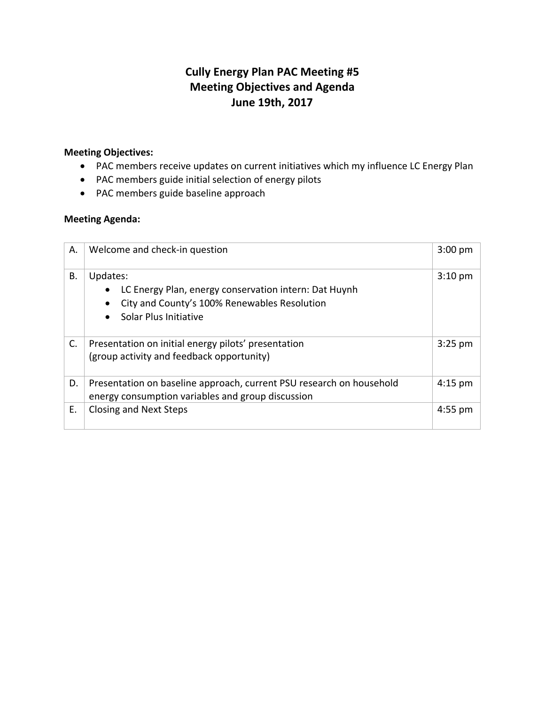# **Cully Energy Plan PAC Meeting #5 Meeting Objectives and Agenda June 19th, 2017**

## **Meeting Objectives:**

- PAC members receive updates on current initiatives which my influence LC Energy Plan
- PAC members guide initial selection of energy pilots
- PAC members guide baseline approach

## **Meeting Agenda:**

| Α. | Welcome and check-in question                                                                                                              |           |  |
|----|--------------------------------------------------------------------------------------------------------------------------------------------|-----------|--|
| Β. | Updates:<br>LC Energy Plan, energy conservation intern: Dat Huynh<br>City and County's 100% Renewables Resolution<br>Solar Plus Initiative | $3:10$ pm |  |
| C. | Presentation on initial energy pilots' presentation<br>(group activity and feedback opportunity)                                           | $3:25$ pm |  |
| D. | Presentation on baseline approach, current PSU research on household<br>energy consumption variables and group discussion                  |           |  |
| Е. | <b>Closing and Next Steps</b>                                                                                                              | $4:55$ pm |  |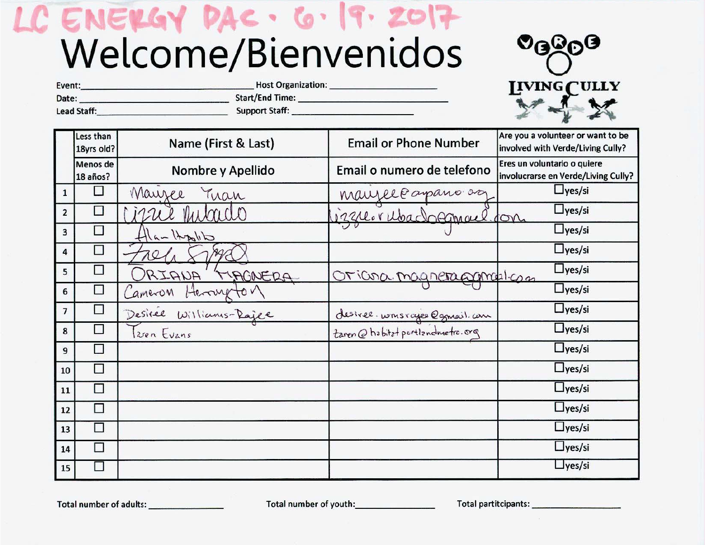# C ENERGY DAC. 6. 9. 201 Welcome/Bienvenidos

Host Organization:



| Date: the contract of the contract of the contract of the contract of the contract of the contract of the contract of the contract of the contract of the contract of the contract of the contract of the contract of the cont<br>$Star$ /End lime:<br>Lead Staff: New York Products and Staff Staff Staff Staff Staff Staff Staff Staff Staff Staff Staff Staff Staff Staff Staff Staff Staff Staff Staff Staff Staff Staff Staff Staff Staff Staff Staff Staff Staff Staff Staff St |                         |                         |                                 |                                                                        |  |
|---------------------------------------------------------------------------------------------------------------------------------------------------------------------------------------------------------------------------------------------------------------------------------------------------------------------------------------------------------------------------------------------------------------------------------------------------------------------------------------|-------------------------|-------------------------|---------------------------------|------------------------------------------------------------------------|--|
|                                                                                                                                                                                                                                                                                                                                                                                                                                                                                       | Less than<br>18yrs old? | Name (First & Last)     | <b>Email or Phone Number</b>    | Are you a volunteer or want to be<br>involved with Verde/Living Cully? |  |
|                                                                                                                                                                                                                                                                                                                                                                                                                                                                                       | Menos de<br>18 años?    | Nombre y Apellido       | Email o numero de telefono      | Eres un voluntario o quiere<br>involucrarse en Verde/Living Cully?     |  |
| $\mathbf{1}$                                                                                                                                                                                                                                                                                                                                                                                                                                                                          | $\Box$                  | Mauzee Tran             |                                 | $\Box$ yes/si                                                          |  |
| $\overline{2}$                                                                                                                                                                                                                                                                                                                                                                                                                                                                        | $\Box$                  | izue mitado             | manzel Caparo dez               | $\Box$ yes/si                                                          |  |
| 3                                                                                                                                                                                                                                                                                                                                                                                                                                                                                     | $\Box$                  | $H _{A} =  A_{B}  _{D}$ |                                 | $\Box$ yes/si                                                          |  |
| 4                                                                                                                                                                                                                                                                                                                                                                                                                                                                                     | $\Box$                  | 721. MAA                |                                 | $\Box$ yes/si                                                          |  |
| 5                                                                                                                                                                                                                                                                                                                                                                                                                                                                                     | $\Box$                  | ORIANA 'TIAGNERA        | Oriana magnetaggmalan           | $\Box$ yes/si                                                          |  |
| 6                                                                                                                                                                                                                                                                                                                                                                                                                                                                                     | $\Box$                  | Cameron Herryton        |                                 | $\Box$ yes/si                                                          |  |
| $\overline{7}$                                                                                                                                                                                                                                                                                                                                                                                                                                                                        | □                       | Desirée Williams-Rajee  | desiree. wonsvages @gmail.com   | $\Box$ yes/si                                                          |  |
| 8                                                                                                                                                                                                                                                                                                                                                                                                                                                                                     | □                       | Izren Evans             | taren@habitat portlandmetro.org | $\Box$ yes/si                                                          |  |
| 9                                                                                                                                                                                                                                                                                                                                                                                                                                                                                     | □                       |                         |                                 | $\Box$ yes/si                                                          |  |
| 10                                                                                                                                                                                                                                                                                                                                                                                                                                                                                    | $\Box$                  |                         |                                 | $\Box$ yes/si                                                          |  |
| 11                                                                                                                                                                                                                                                                                                                                                                                                                                                                                    | $\Box$                  |                         |                                 | $\Box$ yes/si                                                          |  |
| 12                                                                                                                                                                                                                                                                                                                                                                                                                                                                                    | □                       |                         |                                 | $\Box$ yes/si                                                          |  |
| 13                                                                                                                                                                                                                                                                                                                                                                                                                                                                                    | □                       |                         |                                 | $\Box$ yes/si                                                          |  |
| 14                                                                                                                                                                                                                                                                                                                                                                                                                                                                                    | □                       |                         |                                 | $\Box$ yes/si                                                          |  |
| 15                                                                                                                                                                                                                                                                                                                                                                                                                                                                                    | $\Box$                  |                         |                                 | $\Box$ yes/si                                                          |  |

Event:

Total number of youth:

Total partitcipants: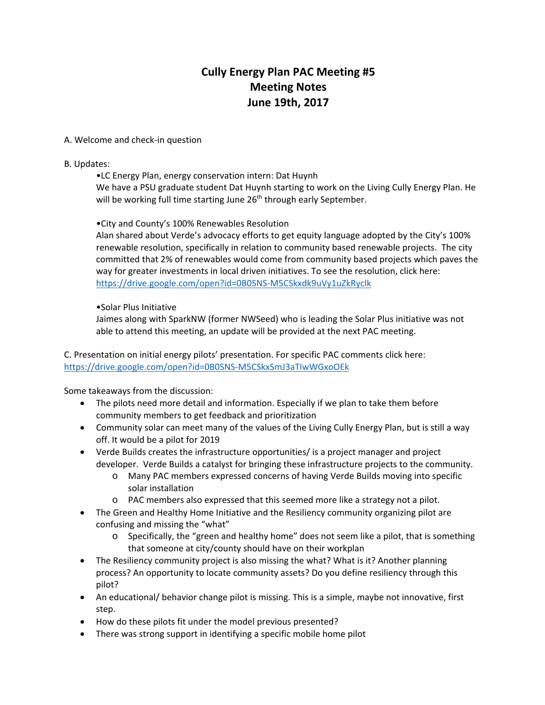# **Cully Energy Plan PAC Meeting #5 Meeting Notes June 19th, 2017**

#### A. Welcome and check-in question

#### B. Updates:

•LC Energy Plan, energy conservation intern: Dat Huynh

We have a PSU graduate student Dat Huynh starting to work on the Living Cully Energy Plan. He will be working full time starting June 26<sup>th</sup> through early September.

## •City and County's 100% Renewables Resolution

Alan shared about Verde's advocacy efforts to get equity language adopted by the City's 100% renewable resolution, specifically in relation to community based renewable projects. The city committed that 2% of renewables would come from community based projects which paves the way for greater investments in local driven initiatives. To see the resolution, click here: <https://drive.google.com/open?id=0B0SNS-M5CSkxdk9uVy1uZkRyclk>

## •Solar Plus Initiative

Jaimes along with SparkNW (former NWSeed) who is leading the Solar Plus initiative was not able to attend this meeting, an update will be provided at the next PAC meeting.

C. Presentation on initial energy pilots' presentation. For specific PAC comments click here: <https://drive.google.com/open?id=0B0SNS-M5CSkxSmJ3aTIwWGxoOEk>

Some takeaways from the discussion:

- The pilots need more detail and information. Especially if we plan to take them before community members to get feedback and prioritization
- Community solar can meet many of the values of the Living Cully Energy Plan, but is still a way off. It would be a pilot for 2019
- Verde Builds creates the infrastructure opportunities/ is a project manager and project developer. Verde Builds a catalyst for bringing these infrastructure projects to the community.
	- o Many PAC members expressed concerns of having Verde Builds moving into specific solar installation
	- o PAC members also expressed that this seemed more like a strategy not a pilot.
- The Green and Healthy Home Initiative and the Resiliency community organizing pilot are confusing and missing the "what"
	- o Specifically, the "green and healthy home" does not seem like a pilot, that is something that someone at city/county should have on their workplan
- The Resiliency community project is also missing the what? What is it? Another planning process? An opportunity to locate community assets? Do you define resiliency through this pilot?
- An educational/ behavior change pilot is missing. This is a simple, maybe not innovative, first step.
- How do these pilots fit under the model previous presented?
- There was strong support in identifying a specific mobile home pilot